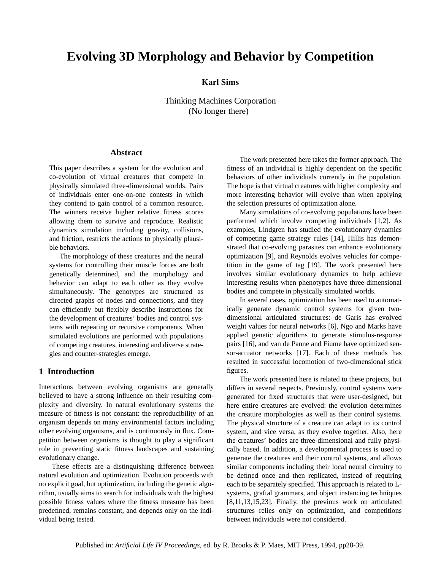# **Evolving 3D Morphology and Behavior by Competition**

**Karl Sims**

Thinking Machines Corporation (No longer there)

#### **Abstract**

This paper describes a system for the evolution and co-evolution of virtual creatures that compete in physically simulated three-dimensional worlds. Pairs of individuals enter one-on-one contests in which they contend to gain control of a common resource. The winners receive higher relative fitness scores allowing them to survive and reproduce. Realistic dynamics simulation including gravity, collisions, and friction, restricts the actions to physically plausible behaviors.

The morphology of these creatures and the neural systems for controlling their muscle forces are both genetically determined, and the morphology and behavior can adapt to each other as they evolve simultaneously. The genotypes are structured as directed graphs of nodes and connections, and they can efficiently but flexibly describe instructions for the development of creatures' bodies and control systems with repeating or recursive components. When simulated evolutions are performed with populations of competing creatures, interesting and diverse strategies and counter-strategies emerge.

#### **1 Introduction**

Interactions between evolving organisms are generally believed to have a strong influence on their resulting complexity and diversity. In natural evolutionary systems the measure of fitness is not constant: the reproducibility of an organism depends on many environmental factors including other evolving organisms, and is continuously in flux. Competition between organisms is thought to play a significant role in preventing static fitness landscapes and sustaining evolutionary change.

These effects are a distinguishing difference between natural evolution and optimization. Evolution proceeds with no explicit goal, but optimization, including the genetic algorithm, usually aims to search for individuals with the highest possible fitness values where the fitness measure has been predefined, remains constant, and depends only on the individual being tested.

The work presented here takes the former approach. The fitness of an individual is highly dependent on the specific behaviors of other individuals currently in the population. The hope is that virtual creatures with higher complexity and more interesting behavior will evolve than when applying the selection pressures of optimization alone.

Many simulations of co-evolving populations have been performed which involve competing individuals [1,2]. As examples, Lindgren has studied the evolutionary dynamics of competing game strategy rules [14], Hillis has demonstrated that co-evolving parasites can enhance evolutionary optimization [9], and Reynolds evolves vehicles for competition in the game of tag [19]. The work presented here involves similar evolutionary dynamics to help achieve interesting results when phenotypes have three-dimensional bodies and compete in physically simulated worlds.

In several cases, optimization has been used to automatically generate dynamic control systems for given twodimensional articulated structures: de Garis has evolved weight values for neural networks [6], Ngo and Marks have applied genetic algorithms to generate stimulus-response pairs [16], and van de Panne and Fiume have optimized sensor-actuator networks [17]. Each of these methods has resulted in successful locomotion of two-dimensional stick figures.

The work presented here is related to these projects, but differs in several respects. Previously, control systems were generated for fixed structures that were user-designed, but here entire creatures are evolved: the evolution determines the creature morphologies as well as their control systems. The physical structure of a creature can adapt to its control system, and vice versa, as they evolve together. Also, here the creatures' bodies are three-dimensional and fully physically based. In addition, a developmental process is used to generate the creatures and their control systems, and allows similar components including their local neural circuitry to be defined once and then replicated, instead of requiring each to be separately specified. This approach is related to Lsystems, graftal grammars, and object instancing techniques [8,11,13,15,23]. Finally, the previous work on articulated structures relies only on optimization, and competitions between individuals were not considered.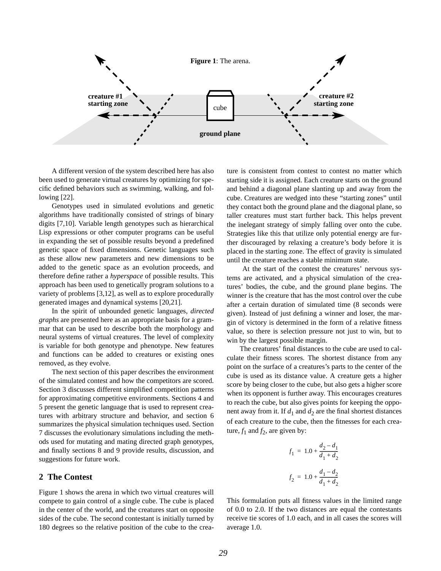

A different version of the system described here has also been used to generate virtual creatures by optimizing for specific defined behaviors such as swimming, walking, and following [22].

Genotypes used in simulated evolutions and genetic algorithms have traditionally consisted of strings of binary digits [7,10]. Variable length genotypes such as hierarchical Lisp expressions or other computer programs can be useful in expanding the set of possible results beyond a predefined genetic space of fixed dimensions. Genetic languages such as these allow new parameters and new dimensions to be added to the genetic space as an evolution proceeds, and therefore define rather a *hyperspace* of possible results. This approach has been used to genetically program solutions to a variety of problems [3,12], as well as to explore procedurally generated images and dynamical systems [20,21].

In the spirit of unbounded genetic languages, *directed graphs* are presented here as an appropriate basis for a grammar that can be used to describe both the morphology and neural systems of virtual creatures. The level of complexity is variable for both genotype and phenotype. New features and functions can be added to creatures or existing ones removed, as they evolve.

The next section of this paper describes the environment of the simulated contest and how the competitors are scored. Section 3 discusses different simplified competition patterns for approximating competitive environments. Sections 4 and 5 present the genetic language that is used to represent creatures with arbitrary structure and behavior, and section 6 summarizes the physical simulation techniques used. Section 7 discusses the evolutionary simulations including the methods used for mutating and mating directed graph genotypes, and finally sections 8 and 9 provide results, discussion, and suggestions for future work.

# **2 The Contest**

Figure 1 shows the arena in which two virtual creatures will compete to gain control of a single cube. The cube is placed in the center of the world, and the creatures start on opposite sides of the cube. The second contestant is initially turned by 180 degrees so the relative position of the cube to the creature is consistent from contest to contest no matter which starting side it is assigned. Each creature starts on the ground and behind a diagonal plane slanting up and away from the cube. Creatures are wedged into these "starting zones" until they contact both the ground plane and the diagonal plane, so taller creatures must start further back. This helps prevent the inelegant strategy of simply falling over onto the cube. Strategies like this that utilize only potential energy are further discouraged by relaxing a creature's body before it is placed in the starting zone. The effect of gravity is simulated until the creature reaches a stable minimum state.

 At the start of the contest the creatures' nervous systems are activated, and a physical simulation of the creatures' bodies, the cube, and the ground plane begins. The winner is the creature that has the most control over the cube after a certain duration of simulated time (8 seconds were given). Instead of just defining a winner and loser, the margin of victory is determined in the form of a relative fitness value, so there is selection pressure not just to win, but to win by the largest possible margin.

The creatures' final distances to the cube are used to calculate their fitness scores. The shortest distance from any point on the surface of a creatures's parts to the center of the cube is used as its distance value. A creature gets a higher score by being closer to the cube, but also gets a higher score when its opponent is further away. This encourages creatures to reach the cube, but also gives points for keeping the opponent away from it. If  $d_1$  and  $d_2$  are the final shortest distances of each creature to the cube, then the fitnesses for each creature,  $f_1$  and  $f_2$ , are given by:

$$
f_1 = 1.0 + \frac{d_2 - d_1}{d_1 + d_2}
$$

$$
f_2 = 1.0 + \frac{d_1 - d_2}{d_1 + d_2}
$$

This formulation puts all fitness values in the limited range of 0.0 to 2.0. If the two distances are equal the contestants receive tie scores of 1.0 each, and in all cases the scores will average 1.0.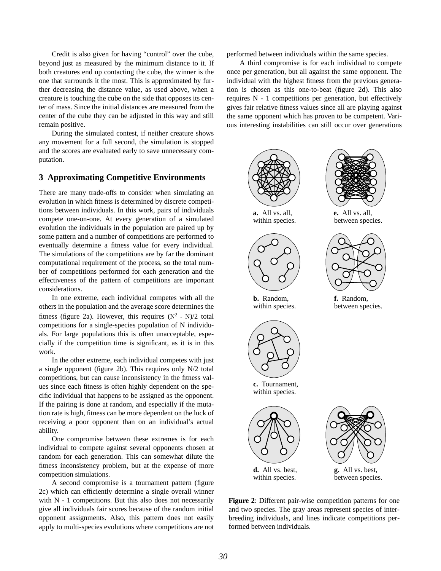Credit is also given for having "control" over the cube, beyond just as measured by the minimum distance to it. If both creatures end up contacting the cube, the winner is the one that surrounds it the most. This is approximated by further decreasing the distance value, as used above, when a creature is touching the cube on the side that opposes its center of mass. Since the initial distances are measured from the center of the cube they can be adjusted in this way and still remain positive.

During the simulated contest, if neither creature shows any movement for a full second, the simulation is stopped and the scores are evaluated early to save unnecessary computation.

#### **3 Approximating Competitive Environments**

There are many trade-offs to consider when simulating an evolution in which fitness is determined by discrete competitions between individuals. In this work, pairs of individuals compete one-on-one. At every generation of a simulated evolution the individuals in the population are paired up by some pattern and a number of competitions are performed to eventually determine a fitness value for every individual. The simulations of the competitions are by far the dominant computational requirement of the process, so the total number of competitions performed for each generation and the effectiveness of the pattern of competitions are important considerations.

In one extreme, each individual competes with all the others in the population and the average score determines the fitness (figure 2a). However, this requires  $(N^2 - N)/2$  total competitions for a single-species population of N individuals. For large populations this is often unacceptable, especially if the competition time is significant, as it is in this work.

In the other extreme, each individual competes with just a single opponent (figure 2b). This requires only N/2 total competitions, but can cause inconsistency in the fitness values since each fitness is often highly dependent on the specific individual that happens to be assigned as the opponent. If the pairing is done at random, and especially if the mutation rate is high, fitness can be more dependent on the luck of receiving a poor opponent than on an individual's actual ability.

One compromise between these extremes is for each individual to compete against several opponents chosen at random for each generation. This can somewhat dilute the fitness inconsistency problem, but at the expense of more competition simulations.

A second compromise is a tournament pattern (figure 2c) which can efficiently determine a single overall winner with  $N - 1$  competitions. But this also does not necessarily give all individuals fair scores because of the random initial opponent assignments. Also, this pattern does not easily apply to multi-species evolutions where competitions are not performed between individuals within the same species.

A third compromise is for each individual to compete once per generation, but all against the same opponent. The individual with the highest fitness from the previous generation is chosen as this one-to-beat (figure 2d). This also requires N - 1 competitions per generation, but effectively gives fair relative fitness values since all are playing against the same opponent which has proven to be competent. Various interesting instabilities can still occur over generations



**Figure 2**: Different pair-wise competition patterns for one and two species. The gray areas represent species of interbreeding individuals, and lines indicate competitions performed between individuals.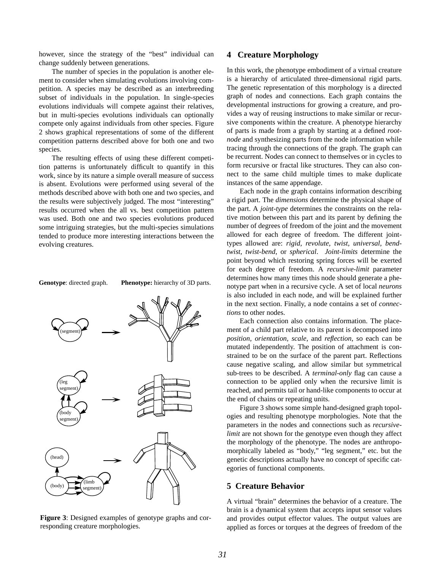however, since the strategy of the "best" individual can change suddenly between generations.

The number of species in the population is another element to consider when simulating evolutions involving competition. A species may be described as an interbreeding subset of individuals in the population. In single-species evolutions individuals will compete against their relatives, but in multi-species evolutions individuals can optionally compete only against individuals from other species. Figure 2 shows graphical representations of some of the different competition patterns described above for both one and two species.

The resulting effects of using these different competition patterns is unfortunately difficult to quantify in this work, since by its nature a simple overall measure of success is absent. Evolutions were performed using several of the methods described above with both one and two species, and the results were subjectively judged. The most "interesting" results occurred when the all vs. best competition pattern was used. Both one and two species evolutions produced some intriguing strategies, but the multi-species simulations tended to produce more interesting interactions between the evolving creatures.

**Genotype**: directed graph. **Phenotype:** hierarchy of 3D parts.



**Figure 3**: Designed examples of genotype graphs and corresponding creature morphologies.

## **4 Creature Morphology**

In this work, the phenotype embodiment of a virtual creature is a hierarchy of articulated three-dimensional rigid parts. The genetic representation of this morphology is a directed graph of nodes and connections. Each graph contains the developmental instructions for growing a creature, and provides a way of reusing instructions to make similar or recursive components within the creature. A phenotype hierarchy of parts is made from a graph by starting at a defined *rootnode* and synthesizing parts from the node information while tracing through the connections of the graph. The graph can be recurrent. Nodes can connect to themselves or in cycles to form recursive or fractal like structures. They can also connect to the same child multiple times to make duplicate instances of the same appendage.

Each node in the graph contains information describing a rigid part. The *dimensions* determine the physical shape of the part. A *joint-type* determines the constraints on the relative motion between this part and its parent by defining the number of degrees of freedom of the joint and the movement allowed for each degree of freedom. The different jointtypes allowed are: *rigid, revolute, twist, universal, bendtwist, twist-bend*, or *spherical*. *Joint-limits* determine the point beyond which restoring spring forces will be exerted for each degree of freedom. A *recursive-limit* parameter determines how many times this node should generate a phenotype part when in a recursive cycle. A set of local *neurons* is also included in each node, and will be explained further in the next section. Finally, a node contains a set of *connections* to other nodes.

Each connection also contains information. The placement of a child part relative to its parent is decomposed into *position, orientation, scale*, and *reflection*, so each can be mutated independently. The position of attachment is constrained to be on the surface of the parent part. Reflections cause negative scaling, and allow similar but symmetrical sub-trees to be described. A *terminal-only* flag can cause a connection to be applied only when the recursive limit is reached, and permits tail or hand-like components to occur at the end of chains or repeating units.

Figure 3 shows some simple hand-designed graph topologies and resulting phenotype morphologies. Note that the parameters in the nodes and connections such as *recursivelimit* are not shown for the genotype even though they affect the morphology of the phenotype. The nodes are anthropomorphically labeled as "body," "leg segment," etc. but the genetic descriptions actually have no concept of specific categories of functional components.

# **5 Creature Behavior**

A virtual "brain" determines the behavior of a creature. The brain is a dynamical system that accepts input sensor values and provides output effector values. The output values are applied as forces or torques at the degrees of freedom of the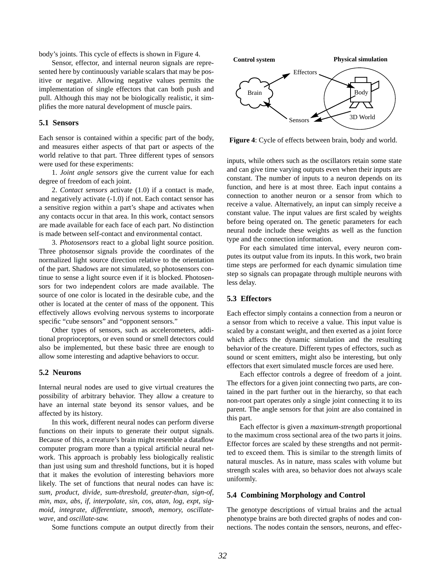body's joints. This cycle of effects is shown in Figure 4.

Sensor, effector, and internal neuron signals are represented here by continuously variable scalars that may be positive or negative. Allowing negative values permits the implementation of single effectors that can both push and pull. Although this may not be biologically realistic, it simplifies the more natural development of muscle pairs.

#### **5.1 Sensors**

Each sensor is contained within a specific part of the body, and measures either aspects of that part or aspects of the world relative to that part. Three different types of sensors were used for these experiments:

1. *Joint angle sensors* give the current value for each degree of freedom of each joint.

2. *Contact sensors* activate (1.0) if a contact is made, and negatively activate (-1.0) if not. Each contact sensor has a sensitive region within a part's shape and activates when any contacts occur in that area. In this work, contact sensors are made available for each face of each part. No distinction is made between self-contact and environmental contact.

3. *Photosensors* react to a global light source position. Three photosensor signals provide the coordinates of the normalized light source direction relative to the orientation of the part. Shadows are not simulated, so photosensors continue to sense a light source even if it is blocked. Photosensors for two independent colors are made available. The source of one color is located in the desirable cube, and the other is located at the center of mass of the opponent. This effectively allows evolving nervous systems to incorporate specific "cube sensors" and "opponent sensors."

Other types of sensors, such as accelerometers, additional proprioceptors, or even sound or smell detectors could also be implemented, but these basic three are enough to allow some interesting and adaptive behaviors to occur.

### **5.2 Neurons**

Internal neural nodes are used to give virtual creatures the possibility of arbitrary behavior. They allow a creature to have an internal state beyond its sensor values, and be affected by its history.

In this work, different neural nodes can perform diverse functions on their inputs to generate their output signals. Because of this, a creature's brain might resemble a dataflow computer program more than a typical artificial neural network. This approach is probably less biologically realistic than just using sum and threshold functions, but it is hoped that it makes the evolution of interesting behaviors more likely. The set of functions that neural nodes can have is: *sum, product, divide, sum-threshold, greater-than, sign-of, min, max, abs, if, interpolate, sin, cos, atan, log, expt, sigmoid, integrate, differentiate, smooth, memory, oscillatewave,* and *oscillate-saw.*

Some functions compute an output directly from their



**Figure 4**: Cycle of effects between brain, body and world.

inputs, while others such as the oscillators retain some state and can give time varying outputs even when their inputs are constant. The number of inputs to a neuron depends on its function, and here is at most three. Each input contains a connection to another neuron or a sensor from which to receive a value. Alternatively, an input can simply receive a constant value. The input values are first scaled by weights before being operated on. The genetic parameters for each neural node include these weights as well as the function type and the connection information.

For each simulated time interval, every neuron computes its output value from its inputs. In this work, two brain time steps are performed for each dynamic simulation time step so signals can propagate through multiple neurons with less delay.

#### **5.3 Effectors**

Each effector simply contains a connection from a neuron or a sensor from which to receive a value. This input value is scaled by a constant weight, and then exerted as a joint force which affects the dynamic simulation and the resulting behavior of the creature. Different types of effectors, such as sound or scent emitters, might also be interesting, but only effectors that exert simulated muscle forces are used here.

Each effector controls a degree of freedom of a joint. The effectors for a given joint connecting two parts, are contained in the part further out in the hierarchy, so that each non-root part operates only a single joint connecting it to its parent. The angle sensors for that joint are also contained in this part.

Each effector is given a *maximum-strength* proportional to the maximum cross sectional area of the two parts it joins. Effector forces are scaled by these strengths and not permitted to exceed them. This is similar to the strength limits of natural muscles. As in nature, mass scales with volume but strength scales with area, so behavior does not always scale uniformly.

#### **5.4 Combining Morphology and Control**

The genotype descriptions of virtual brains and the actual phenotype brains are both directed graphs of nodes and connections. The nodes contain the sensors, neurons, and effec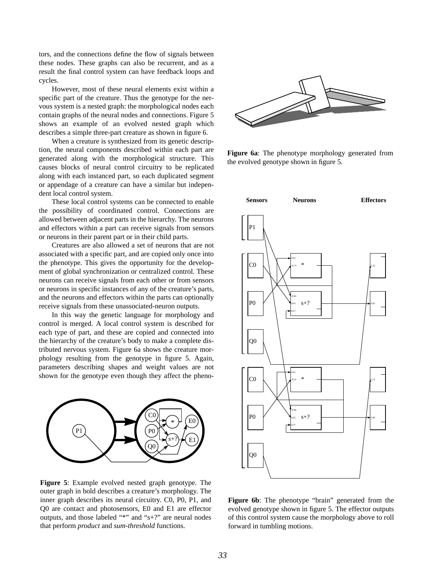tors, and the connections define the flow of signals between these nodes. These graphs can also be recurrent, and as a result the final control system can have feedback loops and cycles.

However, most of these neural elements exist within a specific part of the creature. Thus the genotype for the nervous system is a nested graph: the morphological nodes each contain graphs of the neural nodes and connections. Figure 5 shows an example of an evolved nested graph which describes a simple three-part creature as shown in figure 6.

When a creature is synthesized from its genetic description, the neural components described within each part are generated along with the morphological structure. This causes blocks of neural control circuitry to be replicated along with each instanced part, so each duplicated segment or appendage of a creature can have a similar but independent local control system.

These local control systems can be connected to enable the possibility of coordinated control. Connections are allowed between adjacent parts in the hierarchy. The neurons and effectors within a part can receive signals from sensors or neurons in their parent part or in their child parts.

Creatures are also allowed a set of neurons that are not associated with a specific part, and are copied only once into the phenotype. This gives the opportunity for the development of global synchronization or centralized control. These neurons can receive signals from each other or from sensors or neurons in specific instances of any of the creature's parts, and the neurons and effectors within the parts can optionally receive signals from these unassociated-neuron outputs.

In this way the genetic language for morphology and control is merged. A local control system is described for each type of part, and these are copied and connected into the hierarchy of the creature's body to make a complete distributed nervous system. Figure 6a shows the creature morphology resulting from the genotype in figure 5. Again, parameters describing shapes and weight values are not shown for the genotype even though they affect the pheno-



**Figure 5**: Example evolved nested graph genotype. The outer graph in bold describes a creature's morphology. The inner graph describes its neural circuitry. C0, P0, P1, and Q0 are contact and photosensors, E0 and E1 are effector outputs, and those labeled "\*" and "s+?" are neural nodes that perform *product* and *sum-threshold* functions.



**Figure 6a**: The phenotype morphology generated from the evolved genotype shown in figure 5.



**Figure 6b**: The phenotype "brain" generated from the evolved genotype shown in figure 5. The effector outputs of this control system cause the morphology above to roll forward in tumbling motions.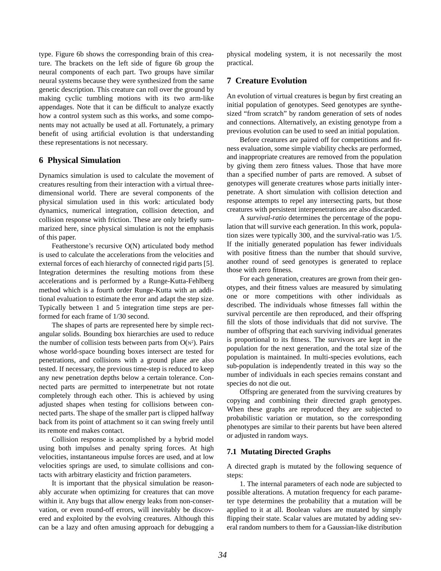type. Figure 6b shows the corresponding brain of this creature. The brackets on the left side of figure 6b group the neural components of each part. Two groups have similar neural systems because they were synthesized from the same genetic description. This creature can roll over the ground by making cyclic tumbling motions with its two arm-like appendages. Note that it can be difficult to analyze exactly how a control system such as this works, and some components may not actually be used at all. Fortunately, a primary benefit of using artificial evolution is that understanding these representations is not necessary.

# **6 Physical Simulation**

Dynamics simulation is used to calculate the movement of creatures resulting from their interaction with a virtual threedimensional world. There are several components of the physical simulation used in this work: articulated body dynamics, numerical integration, collision detection, and collision response with friction. These are only briefly summarized here, since physical simulation is not the emphasis of this paper.

Featherstone's recursive O(N) articulated body method is used to calculate the accelerations from the velocities and external forces of each hierarchy of connected rigid parts [5]. Integration determines the resulting motions from these accelerations and is performed by a Runge-Kutta-Fehlberg method which is a fourth order Runge-Kutta with an additional evaluation to estimate the error and adapt the step size. Typically between 1 and 5 integration time steps are performed for each frame of 1/30 second.

The shapes of parts are represented here by simple rectangular solids. Bounding box hierarchies are used to reduce the number of collision tests between parts from  $O(N^2)$ . Pairs whose world-space bounding boxes intersect are tested for penetrations, and collisions with a ground plane are also tested. If necessary, the previous time-step is reduced to keep any new penetration depths below a certain tolerance. Connected parts are permitted to interpenetrate but not rotate completely through each other. This is achieved by using adjusted shapes when testing for collisions between connected parts. The shape of the smaller part is clipped halfway back from its point of attachment so it can swing freely until its remote end makes contact.

Collision response is accomplished by a hybrid model using both impulses and penalty spring forces. At high velocities, instantaneous impulse forces are used, and at low velocities springs are used, to simulate collisions and contacts with arbitrary elasticity and friction parameters.

It is important that the physical simulation be reasonably accurate when optimizing for creatures that can move within it. Any bugs that allow energy leaks from non-conservation, or even round-off errors, will inevitably be discovered and exploited by the evolving creatures. Although this can be a lazy and often amusing approach for debugging a physical modeling system, it is not necessarily the most practical.

# **7 Creature Evolution**

An evolution of virtual creatures is begun by first creating an initial population of genotypes. Seed genotypes are synthesized "from scratch" by random generation of sets of nodes and connections. Alternatively, an existing genotype from a previous evolution can be used to seed an initial population.

Before creatures are paired off for competitions and fitness evaluation, some simple viability checks are performed, and inappropriate creatures are removed from the population by giving them zero fitness values. Those that have more than a specified number of parts are removed. A subset of genotypes will generate creatures whose parts initially interpenetrate. A short simulation with collision detection and response attempts to repel any intersecting parts, but those creatures with persistent interpenetrations are also discarded.

A *survival-ratio* determines the percentage of the population that will survive each generation. In this work, population sizes were typically 300, and the survival-ratio was 1/5. If the initially generated population has fewer individuals with positive fitness than the number that should survive, another round of seed genotypes is generated to replace those with zero fitness.

For each generation, creatures are grown from their genotypes, and their fitness values are measured by simulating one or more competitions with other individuals as described. The individuals whose fitnesses fall within the survival percentile are then reproduced, and their offspring fill the slots of those individuals that did not survive. The number of offspring that each surviving individual generates is proportional to its fitness. The survivors are kept in the population for the next generation, and the total size of the population is maintained. In multi-species evolutions, each sub-population is independently treated in this way so the number of individuals in each species remains constant and species do not die out.

Offspring are generated from the surviving creatures by copying and combining their directed graph genotypes. When these graphs are reproduced they are subjected to probabilistic variation or mutation, so the corresponding phenotypes are similar to their parents but have been altered or adjusted in random ways.

## **7.1 Mutating Directed Graphs**

A directed graph is mutated by the following sequence of steps:

1. The internal parameters of each node are subjected to possible alterations. A mutation frequency for each parameter type determines the probability that a mutation will be applied to it at all. Boolean values are mutated by simply flipping their state. Scalar values are mutated by adding several random numbers to them for a Gaussian-like distribution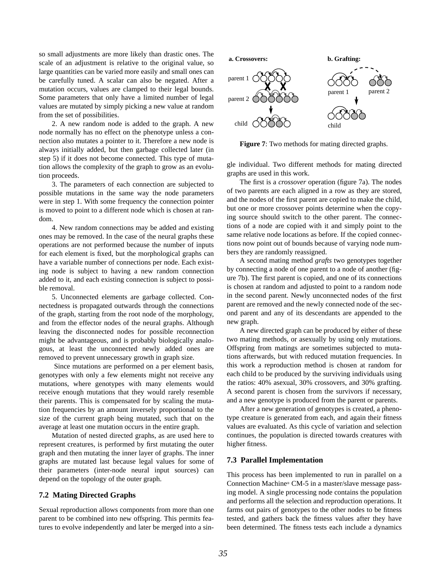so small adjustments are more likely than drastic ones. The scale of an adjustment is relative to the original value, so large quantities can be varied more easily and small ones can be carefully tuned. A scalar can also be negated. After a mutation occurs, values are clamped to their legal bounds. Some parameters that only have a limited number of legal values are mutated by simply picking a new value at random from the set of possibilities.

2. A new random node is added to the graph. A new node normally has no effect on the phenotype unless a connection also mutates a pointer to it. Therefore a new node is always initially added, but then garbage collected later (in step 5) if it does not become connected. This type of mutation allows the complexity of the graph to grow as an evolution proceeds.

3. The parameters of each connection are subjected to possible mutations in the same way the node parameters were in step 1. With some frequency the connection pointer is moved to point to a different node which is chosen at random.

4. New random connections may be added and existing ones may be removed. In the case of the neural graphs these operations are not performed because the number of inputs for each element is fixed, but the morphological graphs can have a variable number of connections per node. Each existing node is subject to having a new random connection added to it, and each existing connection is subject to possible removal.

5. Unconnected elements are garbage collected. Connectedness is propagated outwards through the connections of the graph, starting from the root node of the morphology, and from the effector nodes of the neural graphs. Although leaving the disconnected nodes for possible reconnection might be advantageous, and is probably biologically analogous, at least the unconnected newly added ones are removed to prevent unnecessary growth in graph size.

 Since mutations are performed on a per element basis, genotypes with only a few elements might not receive any mutations, where genotypes with many elements would receive enough mutations that they would rarely resemble their parents. This is compensated for by scaling the mutation frequencies by an amount inversely proportional to the size of the current graph being mutated, such that on the average at least one mutation occurs in the entire graph.

Mutation of nested directed graphs, as are used here to represent creatures, is performed by first mutating the outer graph and then mutating the inner layer of graphs. The inner graphs are mutated last because legal values for some of their parameters (inter-node neural input sources) can depend on the topology of the outer graph.

#### **7.2 Mating Directed Graphs**

Sexual reproduction allows components from more than one parent to be combined into new offspring. This permits features to evolve independently and later be merged into a sin-



**Figure 7**: Two methods for mating directed graphs.

gle individual. Two different methods for mating directed graphs are used in this work.

The first is a *crossover* operation (figure 7a). The nodes of two parents are each aligned in a row as they are stored, and the nodes of the first parent are copied to make the child, but one or more crossover points determine when the copying source should switch to the other parent. The connections of a node are copied with it and simply point to the same relative node locations as before. If the copied connections now point out of bounds because of varying node numbers they are randomly reassigned.

A second mating method *grafts* two genotypes together by connecting a node of one parent to a node of another (figure 7b). The first parent is copied, and one of its connections is chosen at random and adjusted to point to a random node in the second parent. Newly unconnected nodes of the first parent are removed and the newly connected node of the second parent and any of its descendants are appended to the new graph.

A new directed graph can be produced by either of these two mating methods, or asexually by using only mutations. Offspring from matings are sometimes subjected to mutations afterwards, but with reduced mutation frequencies. In this work a reproduction method is chosen at random for each child to be produced by the surviving individuals using the ratios: 40% asexual, 30% crossovers, and 30% grafting. A second parent is chosen from the survivors if necessary, and a new genotype is produced from the parent or parents.

After a new generation of genotypes is created, a phenotype creature is generated from each, and again their fitness values are evaluated. As this cycle of variation and selection continues, the population is directed towards creatures with higher fitness.

#### **7.3 Parallel Implementation**

This process has been implemented to run in parallel on a Connection Machine® CM-5 in a master/slave message passing model. A single processing node contains the population and performs all the selection and reproduction operations. It farms out pairs of genotypes to the other nodes to be fitness tested, and gathers back the fitness values after they have been determined. The fitness tests each include a dynamics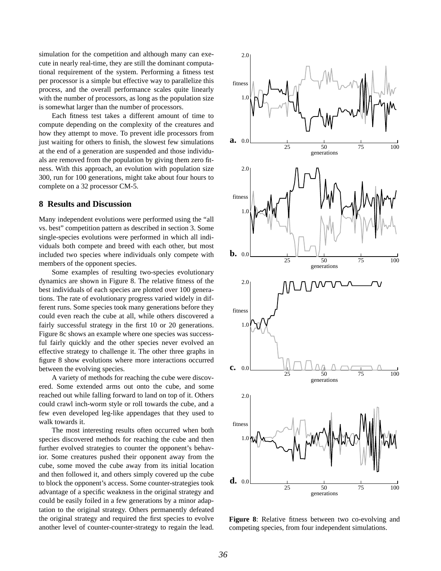simulation for the competition and although many can execute in nearly real-time, they are still the dominant computational requirement of the system. Performing a fitness test per processor is a simple but effective way to parallelize this process, and the overall performance scales quite linearly with the number of processors, as long as the population size is somewhat larger than the number of processors.

Each fitness test takes a different amount of time to compute depending on the complexity of the creatures and how they attempt to move. To prevent idle processors from just waiting for others to finish, the slowest few simulations at the end of a generation are suspended and those individuals are removed from the population by giving them zero fitness. With this approach, an evolution with population size 300, run for 100 generations, might take about four hours to complete on a 32 processor CM-5.

## **8 Results and Discussion**

Many independent evolutions were performed using the "all vs. best" competition pattern as described in section 3. Some single-species evolutions were performed in which all individuals both compete and breed with each other, but most included two species where individuals only compete with members of the opponent species.

Some examples of resulting two-species evolutionary dynamics are shown in Figure 8. The relative fitness of the best individuals of each species are plotted over 100 generations. The rate of evolutionary progress varied widely in different runs. Some species took many generations before they could even reach the cube at all, while others discovered a fairly successful strategy in the first 10 or 20 generations. Figure 8c shows an example where one species was successful fairly quickly and the other species never evolved an effective strategy to challenge it. The other three graphs in figure 8 show evolutions where more interactions occurred between the evolving species.

A variety of methods for reaching the cube were discovered. Some extended arms out onto the cube, and some reached out while falling forward to land on top of it. Others could crawl inch-worm style or roll towards the cube, and a few even developed leg-like appendages that they used to walk towards it.

The most interesting results often occurred when both species discovered methods for reaching the cube and then further evolved strategies to counter the opponent's behavior. Some creatures pushed their opponent away from the cube, some moved the cube away from its initial location and then followed it, and others simply covered up the cube to block the opponent's access. Some counter-strategies took advantage of a specific weakness in the original strategy and could be easily foiled in a few generations by a minor adaptation to the original strategy. Others permanently defeated the original strategy and required the first species to evolve another level of counter-counter-strategy to regain the lead.



**Figure 8**: Relative fitness between two co-evolving and competing species, from four independent simulations.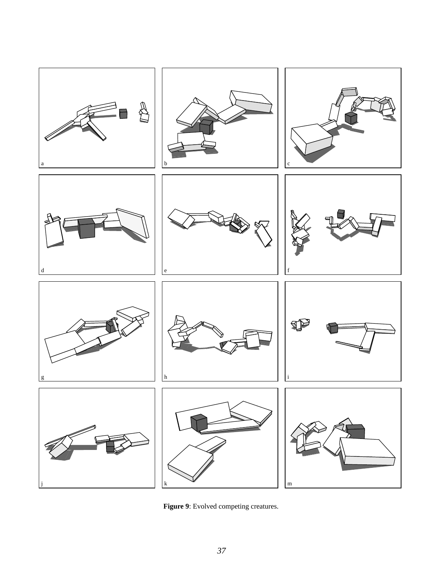

**Figure 9**: Evolved competing creatures.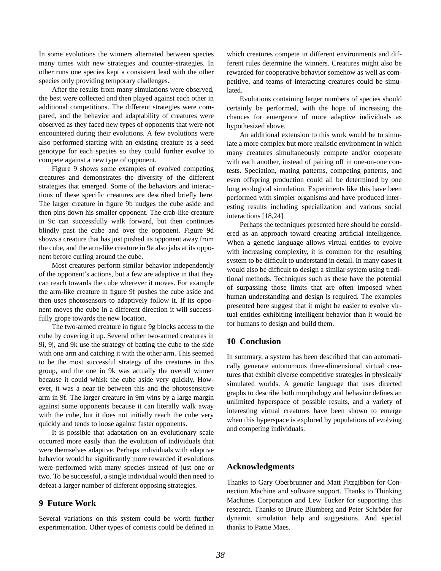In some evolutions the winners alternated between species many times with new strategies and counter-strategies. In other runs one species kept a consistent lead with the other species only providing temporary challenges.

After the results from many simulations were observed, the best were collected and then played against each other in additional competitions. The different strategies were compared, and the behavior and adaptability of creatures were observed as they faced new types of opponents that were not encountered during their evolutions. A few evolutions were also performed starting with an existing creature as a seed genotype for each species so they could further evolve to compete against a new type of opponent.

Figure 9 shows some examples of evolved competing creatures and demonstrates the diversity of the different strategies that emerged. Some of the behaviors and interactions of these specific creatures are described briefly here. The larger creature in figure 9b nudges the cube aside and then pins down his smaller opponent. The crab-like creature in 9c can successfully walk forward, but then continues blindly past the cube and over the opponent. Figure 9d shows a creature that has just pushed its opponent away from the cube, and the arm-like creature in 9e also jabs at its opponent before curling around the cube.

Most creatures perform similar behavior independently of the opponent's actions, but a few are adaptive in that they can reach towards the cube wherever it moves. For example the arm-like creature in figure 9f pushes the cube aside and then uses photosensors to adaptively follow it. If its opponent moves the cube in a different direction it will successfully grope towards the new location.

The two-armed creature in figure 9g blocks access to the cube by covering it up. Several other two-armed creatures in 9i, 9j, and 9k use the strategy of batting the cube to the side with one arm and catching it with the other arm. This seemed to be the most successful strategy of the creatures in this group, and the one in 9k was actually the overall winner because it could whisk the cube aside very quickly. However, it was a near tie between this and the photosensitive arm in 9f. The larger creature in 9m wins by a large margin against some opponents because it can literally walk away with the cube, but it does not initially reach the cube very quickly and tends to loose against faster opponents.

It is possible that adaptation on an evolutionary scale occurred more easily than the evolution of individuals that were themselves adaptive. Perhaps individuals with adaptive behavior would be significantly more rewarded if evolutions were performed with many species instead of just one or two. To be successful, a single individual would then need to defeat a larger number of different opposing strategies.

# **9 Future Work**

Several variations on this system could be worth further experimentation. Other types of contests could be defined in which creatures compete in different environments and different rules determine the winners. Creatures might also be rewarded for cooperative behavior somehow as well as competitive, and teams of interacting creatures could be simulated.

Evolutions containing larger numbers of species should certainly be performed, with the hope of increasing the chances for emergence of more adaptive individuals as hypothesized above.

An additional extension to this work would be to simulate a more complex but more realistic environment in which many creatures simultaneously compete and/or cooperate with each another, instead of pairing off in one-on-one contests. Speciation, mating patterns, competing patterns, and even offspring production could all be determined by one long ecological simulation. Experiments like this have been performed with simpler organisms and have produced interesting results including specialization and various social interactions [18,24].

Perhaps the techniques presented here should be considered as an approach toward creating artificial intelligence. When a genetic language allows virtual entities to evolve with increasing complexity, it is common for the resulting system to be difficult to understand in detail. In many cases it would also be difficult to design a similar system using traditional methods. Techniques such as these have the potential of surpassing those limits that are often imposed when human understanding and design is required. The examples presented here suggest that it might be easier to evolve virtual entities exhibiting intelligent behavior than it would be for humans to design and build them.

# **10 Conclusion**

In summary, a system has been described that can automatically generate autonomous three-dimensional virtual creatures that exhibit diverse competitive strategies in physically simulated worlds. A genetic language that uses directed graphs to describe both morphology and behavior defines an unlimited hyperspace of possible results, and a variety of interesting virtual creatures have been shown to emerge when this hyperspace is explored by populations of evolving and competing individuals.

## **Acknowledgments**

Thanks to Gary Oberbrunner and Matt Fitzgibbon for Connection Machine and software support. Thanks to Thinking Machines Corporation and Lew Tucker for supporting this research. Thanks to Bruce Blumberg and Peter Schröder for dynamic simulation help and suggestions. And special thanks to Pattie Maes.